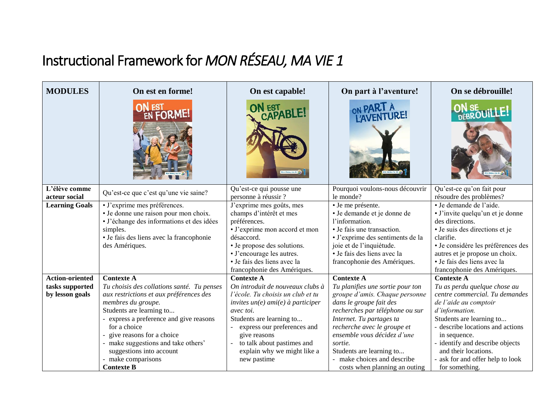## Instructional Framework for *MON RÉSEAU, MA VIE 1*

| <b>MODULES</b>                                               | On est en forme!                                                                                                                                                                                                                                                                                                                                               | On est capable!                                                                                                                                                                                                                                                                                       | On part à l'aventure!                                                                                                                                                                                                                                                                                                                                  | On se débrouille!                                                                                                                                                                                                                                                                                                           |
|--------------------------------------------------------------|----------------------------------------------------------------------------------------------------------------------------------------------------------------------------------------------------------------------------------------------------------------------------------------------------------------------------------------------------------------|-------------------------------------------------------------------------------------------------------------------------------------------------------------------------------------------------------------------------------------------------------------------------------------------------------|--------------------------------------------------------------------------------------------------------------------------------------------------------------------------------------------------------------------------------------------------------------------------------------------------------------------------------------------------------|-----------------------------------------------------------------------------------------------------------------------------------------------------------------------------------------------------------------------------------------------------------------------------------------------------------------------------|
|                                                              | N EST<br>EN <b>FORME!</b>                                                                                                                                                                                                                                                                                                                                      | ON EST<br>CAPABLE!                                                                                                                                                                                                                                                                                    | ON PART À L'AVENTURE!                                                                                                                                                                                                                                                                                                                                  | ON SE UILLE!                                                                                                                                                                                                                                                                                                                |
| L'élève comme                                                | Qu'est-ce que c'est qu'une vie saine?                                                                                                                                                                                                                                                                                                                          | Qu'est-ce qui pousse une                                                                                                                                                                                                                                                                              | Pourquoi voulons-nous découvrir                                                                                                                                                                                                                                                                                                                        | Qu'est-ce qu'on fait pour                                                                                                                                                                                                                                                                                                   |
| acteur social                                                |                                                                                                                                                                                                                                                                                                                                                                | personne à réussir ?                                                                                                                                                                                                                                                                                  | le monde?                                                                                                                                                                                                                                                                                                                                              | résoudre des problèmes?                                                                                                                                                                                                                                                                                                     |
| <b>Learning Goals</b>                                        | · J'exprime mes préférences.<br>• Je donne une raison pour mon choix.<br>· J'échange des informations et des idées<br>simples.<br>· Je fais des liens avec la francophonie<br>des Amériques.                                                                                                                                                                   | J'exprime mes goûts, mes<br>champs d'intérêt et mes<br>préférences.<br>· J'exprime mon accord et mon<br>désaccord.<br>• Je propose des solutions.<br>• J'encourage les autres.<br>· Je fais des liens avec la<br>francophonie des Amériques.                                                          | · Je me présente.<br>· Je demande et je donne de<br>l'information.<br>• Je fais une transaction.<br>· J'exprime des sentiments de la<br>joie et de l'inquiétude.<br>· Je fais des liens avec la<br>francophonie des Amériques.                                                                                                                         | · Je demande de l'aide.<br>· J'invite quelqu'un et je donne<br>des directions.<br>· Je suis des directions et je<br>clarifie.<br>· Je considère les préférences des<br>autres et je propose un choix.<br>· Je fais des liens avec la<br>francophonie des Amériques.                                                         |
| <b>Action-oriented</b><br>tasks supported<br>by lesson goals | <b>Contexte A</b><br>Tu choisis des collations santé. Tu penses<br>aux restrictions et aux préférences des<br>membres du groupe.<br>Students are learning to<br>- express a preference and give reasons<br>for a choice<br>give reasons for a choice<br>make suggestions and take others'<br>suggestions into account<br>make comparisons<br><b>Contexte B</b> | <b>Contexte A</b><br>On introduit de nouveaux clubs à<br>l'école. Tu choisis un club et tu<br>invites $un(e)$ ami(e) à participer<br>avec toi.<br>Students are learning to<br>express our preferences and<br>give reasons<br>to talk about pastimes and<br>explain why we might like a<br>new pastime | <b>Contexte A</b><br>Tu planifies une sortie pour ton<br>groupe d'amis. Chaque personne<br>dans le groupe fait des<br>recherches par téléphone ou sur<br>Internet. Tu partages ta<br>recherche avec le groupe et<br>ensemble vous décidez d'une<br>sortie.<br>Students are learning to<br>- make choices and describe<br>costs when planning an outing | <b>Contexte A</b><br>Tu as perdu quelque chose au<br>centre commercial. Tu demandes<br>de l'aide au comptoir<br>d'information.<br>Students are learning to<br>- describe locations and actions<br>in sequence.<br>identify and describe objects<br>and their locations.<br>ask for and offer help to look<br>for something. |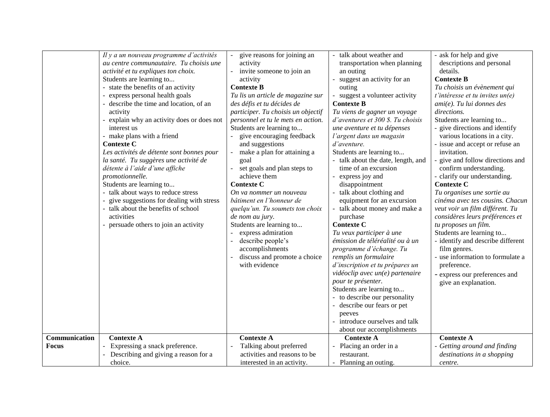|               |                                                                                    |                                    | talk about weather and                  |                                       |
|---------------|------------------------------------------------------------------------------------|------------------------------------|-----------------------------------------|---------------------------------------|
|               | Il y a un nouveau programme d'activités<br>au centre communautaire. Tu choisis une | give reasons for joining an        |                                         | - ask for help and give               |
|               |                                                                                    | activity                           | transportation when planning            | descriptions and personal<br>details. |
|               | activité et tu expliques ton choix.                                                | invite someone to join an          | an outing<br>suggest an activity for an | <b>Contexte B</b>                     |
|               | Students are learning to<br>- state the benefits of an activity                    | activity<br><b>Contexte B</b>      |                                         |                                       |
|               |                                                                                    |                                    | outing                                  | Tu choisis un évènement qui           |
|               | - express personal health goals                                                    | Tu lis un article de magazine sur  | - suggest a volunteer activity          | $t'$ intéresse et tu invites $un(e)$  |
|               | - describe the time and location, of an                                            | des défis et tu décides de         | <b>Contexte B</b>                       | $ami(e)$ . Tu lui donnes des          |
|               | activity                                                                           | participer. Tu choisis un objectif | Tu viens de gagner un voyage            | directions.                           |
|               | explain why an activity does or does not                                           | personnel et tu le mets en action. | d'aventures et 300 \$. Tu choisis       | Students are learning to              |
|               | interest us                                                                        | Students are learning to           | une aventure et tu dépenses             | - give directions and identify        |
|               | - make plans with a friend                                                         | give encouraging feedback          | l'argent dans un magasin                | various locations in a city.          |
|               | <b>Contexte C</b>                                                                  | and suggestions                    | d'aventure.                             | - issue and accept or refuse an       |
|               | Les activités de détente sont bonnes pour                                          | make a plan for attaining a        | Students are learning to                | invitation.                           |
|               | la santé. Tu suggères une activité de                                              | goal                               | - talk about the date, length, and      | - give and follow directions and      |
|               | détente à l'aide d'une affiche                                                     | set goals and plan steps to        | time of an excursion                    | confirm understanding.                |
|               | promotionnelle.                                                                    | achieve them                       | express joy and                         | - clarify our understanding.          |
|               | Students are learning to                                                           | <b>Contexte C</b>                  | disappointment                          | <b>Contexte C</b>                     |
|               | - talk about ways to reduce stress                                                 | On va nommer un nouveau            | talk about clothing and                 | Tu organises une sortie au            |
|               | give suggestions for dealing with stress                                           | bâtiment en l'honneur de           | equipment for an excursion              | cinéma avec tes cousins. Chacun       |
|               | - talk about the benefits of school                                                | quelqu'un. Tu soumets ton choix    | talk about money and make a             | veut voir un film différent. Tu       |
|               | activities                                                                         | de nom au jury.                    | purchase                                | considères leurs préférences et       |
|               | - persuade others to join an activity                                              | Students are learning to           | <b>Contexte C</b>                       | tu proposes un film.                  |
|               |                                                                                    | express admiration                 | Tu veux participer à une                | Students are learning to              |
|               |                                                                                    | describe people's                  | émission de téléréalité ou à un         | - identify and describe different     |
|               |                                                                                    | accomplishments                    | programme d'échange. Tu                 | film genres.                          |
|               |                                                                                    | discuss and promote a choice       | remplis un formulaire                   | - use information to formulate a      |
|               |                                                                                    | with evidence                      | d'inscription et tu prépares un         | preference.                           |
|               |                                                                                    |                                    | vidéoclip avec un(e) partenaire         | - express our preferences and         |
|               |                                                                                    |                                    | pour te présenter.                      | give an explanation.                  |
|               |                                                                                    |                                    | Students are learning to                |                                       |
|               |                                                                                    |                                    | - to describe our personality           |                                       |
|               |                                                                                    |                                    | - describe our fears or pet             |                                       |
|               |                                                                                    |                                    | peeves                                  |                                       |
|               |                                                                                    |                                    | introduce ourselves and talk            |                                       |
|               |                                                                                    |                                    | about our accomplishments               |                                       |
| Communication | <b>Contexte A</b>                                                                  | <b>Contexte A</b>                  | <b>Contexte A</b>                       | <b>Contexte A</b>                     |
| <b>Focus</b>  | - Expressing a snack preference.                                                   | Talking about preferred            | Placing an order in a                   | - Getting around and finding          |
|               | Describing and giving a reason for a                                               | activities and reasons to be       | restaurant.                             | destinations in a shopping            |
|               | choice.                                                                            | interested in an activity.         | Planning an outing.                     | centre.                               |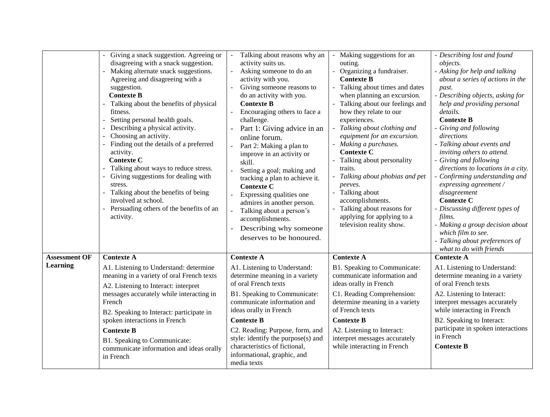| Talking about reasons why an<br>Making suggestions for an<br>- Describing lost and found<br>Giving a snack suggestion. Agreeing or<br>disagreeing with a snack suggestion.<br>activity suits us.<br>outing.<br>objects.<br>Making alternate snack suggestions.<br>- Organizing a fundraiser.<br>Asking someone to do an<br>- Asking for help and talking<br>Agreeing and disagreeing with a<br><b>Contexte B</b><br>activity with you.<br>about a series of actions in the<br>Giving someone reasons to<br>- Talking about times and dates<br>suggestion.<br>past.<br><b>Contexte B</b><br>when planning an excursion.<br>- Describing objects, asking for<br>do an activity with you.<br><b>Contexte B</b><br>Talking about our feelings and<br>help and providing personal<br>Talking about the benefits of physical<br>fitness.<br>Encouraging others to face a<br>how they relate to our<br>details.<br>Setting personal health goals.<br>experiences.<br><b>Contexte B</b><br>challenge.<br>Describing a physical activity.<br>- Talking about clothing and<br>Giving and following<br>Part 1: Giving advice in an<br>Choosing an activity.<br>equipment for an excursion.<br>directions<br>online forum.<br>Finding out the details of a preferred<br>- Making a purchases.<br>- Talking about events and<br>Part 2: Making a plan to<br><b>Contexte C</b><br>activity.<br>inviting others to attend.<br>improve in an activity or<br><b>Contexte C</b><br>Talking about personality<br>- Giving and following<br>skill.<br>Talking about ways to reduce stress.<br>traits.<br>Setting a goal; making and<br>Giving suggestions for dealing with<br>Talking about phobias and pet<br>Confirming understanding and<br>tracking a plan to achieve it.<br>expressing agreement /<br>stress.<br>peeves.<br><b>Contexte C</b><br>Talking about the benefits of being<br>Talking about<br>disagreement<br>Expressing qualities one<br><b>Contexte C</b><br>involved at school.<br>accomplishments.<br>admires in another person.<br>Persuading others of the benefits of an<br>Talking about reasons for<br>- Discussing different types of<br>Talking about a person's<br>applying for applying to a<br>films.<br>activity.<br>accomplishments.<br>television reality show.<br>- Making a group decision about<br>Describing why someone<br>which film to see. | directions to locations in a city. |
|-----------------------------------------------------------------------------------------------------------------------------------------------------------------------------------------------------------------------------------------------------------------------------------------------------------------------------------------------------------------------------------------------------------------------------------------------------------------------------------------------------------------------------------------------------------------------------------------------------------------------------------------------------------------------------------------------------------------------------------------------------------------------------------------------------------------------------------------------------------------------------------------------------------------------------------------------------------------------------------------------------------------------------------------------------------------------------------------------------------------------------------------------------------------------------------------------------------------------------------------------------------------------------------------------------------------------------------------------------------------------------------------------------------------------------------------------------------------------------------------------------------------------------------------------------------------------------------------------------------------------------------------------------------------------------------------------------------------------------------------------------------------------------------------------------------------------------------------------------------------------------------------------------------------------------------------------------------------------------------------------------------------------------------------------------------------------------------------------------------------------------------------------------------------------------------------------------------------------------------------------------------------------------------------------------------------------------------------------------------------|------------------------------------|
| deserves to be honoured.<br>- Talking about preferences of<br>what to do with friends                                                                                                                                                                                                                                                                                                                                                                                                                                                                                                                                                                                                                                                                                                                                                                                                                                                                                                                                                                                                                                                                                                                                                                                                                                                                                                                                                                                                                                                                                                                                                                                                                                                                                                                                                                                                                                                                                                                                                                                                                                                                                                                                                                                                                                                                           |                                    |
| <b>Assessment OF</b><br><b>Contexte A</b><br><b>Contexte A</b><br><b>Contexte A</b><br><b>Contexte A</b>                                                                                                                                                                                                                                                                                                                                                                                                                                                                                                                                                                                                                                                                                                                                                                                                                                                                                                                                                                                                                                                                                                                                                                                                                                                                                                                                                                                                                                                                                                                                                                                                                                                                                                                                                                                                                                                                                                                                                                                                                                                                                                                                                                                                                                                        |                                    |
| <b>Learning</b><br>B1. Speaking to Communicate:<br>A1. Listening to Understand:<br>A1. Listening to Understand: determine<br>A1. Listening to Understand:                                                                                                                                                                                                                                                                                                                                                                                                                                                                                                                                                                                                                                                                                                                                                                                                                                                                                                                                                                                                                                                                                                                                                                                                                                                                                                                                                                                                                                                                                                                                                                                                                                                                                                                                                                                                                                                                                                                                                                                                                                                                                                                                                                                                       |                                    |
| meaning in a variety of oral French texts<br>determine meaning in a variety<br>communicate information and<br>determine meaning in a variety<br>of oral French texts<br>of oral French texts<br>ideas orally in French<br>A2. Listening to Interact: interpret                                                                                                                                                                                                                                                                                                                                                                                                                                                                                                                                                                                                                                                                                                                                                                                                                                                                                                                                                                                                                                                                                                                                                                                                                                                                                                                                                                                                                                                                                                                                                                                                                                                                                                                                                                                                                                                                                                                                                                                                                                                                                                  |                                    |
| messages accurately while interacting in<br>B1. Speaking to Communicate:<br>C1. Reading Comprehension:<br>A2. Listening to Interact:<br>determine meaning in a variety<br>communicate information and<br>interpret messages accurately<br>French<br>of French texts<br>while interacting in French<br>ideas orally in French                                                                                                                                                                                                                                                                                                                                                                                                                                                                                                                                                                                                                                                                                                                                                                                                                                                                                                                                                                                                                                                                                                                                                                                                                                                                                                                                                                                                                                                                                                                                                                                                                                                                                                                                                                                                                                                                                                                                                                                                                                    |                                    |
| B2. Speaking to Interact: participate in<br>spoken interactions in French<br>B2. Speaking to Interact:<br><b>Contexte B</b><br><b>Contexte B</b>                                                                                                                                                                                                                                                                                                                                                                                                                                                                                                                                                                                                                                                                                                                                                                                                                                                                                                                                                                                                                                                                                                                                                                                                                                                                                                                                                                                                                                                                                                                                                                                                                                                                                                                                                                                                                                                                                                                                                                                                                                                                                                                                                                                                                |                                    |
| participate in spoken interactions<br><b>Contexte B</b><br>C2. Reading: Purpose, form, and<br>A2. Listening to Interact:<br>in French<br>style: identify the purpose(s) and<br>interpret messages accurately<br>B1. Speaking to Communicate:<br>characteristics of fictional,<br>while interacting in French<br><b>Contexte B</b><br>communicate information and ideas orally<br>informational, graphic, and<br>in French<br>media texts                                                                                                                                                                                                                                                                                                                                                                                                                                                                                                                                                                                                                                                                                                                                                                                                                                                                                                                                                                                                                                                                                                                                                                                                                                                                                                                                                                                                                                                                                                                                                                                                                                                                                                                                                                                                                                                                                                                        |                                    |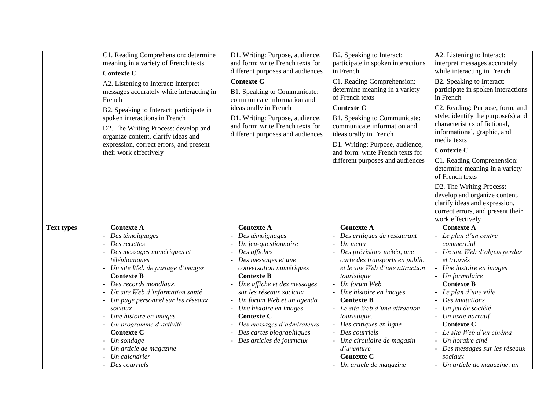|                   | C1. Reading Comprehension: determine<br>meaning in a variety of French texts<br><b>Contexte C</b><br>A2. Listening to Interact: interpret<br>messages accurately while interacting in<br>French<br>B2. Speaking to Interact: participate in<br>spoken interactions in French<br>D2. The Writing Process: develop and<br>organize content, clarify ideas and<br>expression, correct errors, and present<br>their work effectively | D1. Writing: Purpose, audience,<br>and form: write French texts for<br>different purposes and audiences<br><b>Contexte C</b><br>B1. Speaking to Communicate:<br>communicate information and<br>ideas orally in French<br>D1. Writing: Purpose, audience,<br>and form: write French texts for<br>different purposes and audiences                                                  | B2. Speaking to Interact:<br>participate in spoken interactions<br>in French<br>C1. Reading Comprehension:<br>determine meaning in a variety<br>of French texts<br><b>Contexte C</b><br>B1. Speaking to Communicate:<br>communicate information and<br>ideas orally in French<br>D1. Writing: Purpose, audience,<br>and form: write French texts for<br>different purposes and audiences                                           | A2. Listening to Interact:<br>interpret messages accurately<br>while interacting in French<br>B2. Speaking to Interact:<br>participate in spoken interactions<br>in French<br>C2. Reading: Purpose, form, and<br>style: identify the purpose(s) and<br>characteristics of fictional,<br>informational, graphic, and<br>media texts<br><b>Contexte C</b><br>C1. Reading Comprehension:<br>determine meaning in a variety<br>of French texts<br>D2. The Writing Process:<br>develop and organize content,<br>clarify ideas and expression,<br>correct errors, and present their<br>work effectively |
|-------------------|----------------------------------------------------------------------------------------------------------------------------------------------------------------------------------------------------------------------------------------------------------------------------------------------------------------------------------------------------------------------------------------------------------------------------------|-----------------------------------------------------------------------------------------------------------------------------------------------------------------------------------------------------------------------------------------------------------------------------------------------------------------------------------------------------------------------------------|------------------------------------------------------------------------------------------------------------------------------------------------------------------------------------------------------------------------------------------------------------------------------------------------------------------------------------------------------------------------------------------------------------------------------------|---------------------------------------------------------------------------------------------------------------------------------------------------------------------------------------------------------------------------------------------------------------------------------------------------------------------------------------------------------------------------------------------------------------------------------------------------------------------------------------------------------------------------------------------------------------------------------------------------|
| <b>Text types</b> | <b>Contexte A</b><br>Des témoignages<br>Des recettes<br>Des messages numériques et<br>téléphoniques<br>Un site Web de partage d'images<br><b>Contexte B</b><br>Des records mondiaux.<br>Un site Web d'information santé<br>Un page personnel sur les réseaux<br>sociaux<br>Une histoire en images<br>- Un programme d'activité<br><b>Contexte C</b><br>Un sondage<br>Un article de magazine<br>Un calendrier<br>- Des courriels  | <b>Contexte A</b><br>Des témoignages<br>Un jeu-questionnaire<br>Des affiches<br>Des messages et une<br>conversation numériques<br><b>Contexte B</b><br>Une affiche et des messages<br>sur les réseaux sociaux<br>Un forum Web et un agenda<br>Une histoire en images<br><b>Contexte C</b><br>Des messages d'admirateurs<br>Des cartes biographiques<br>- Des articles de journaux | <b>Contexte A</b><br>Des critiques de restaurant<br>Un menu<br>Des prévisions météo, une<br>carte des transports en public<br>et le site Web d'une attraction<br>touristique<br>Un forum Web<br>Une histoire en images<br><b>Contexte B</b><br>Le site Web d'une attraction<br>touristique.<br>Des critiques en ligne<br>- Des courriels<br>Une circulaire de magasin<br>d'aventure<br><b>Contexte C</b><br>Un article de magazine | <b>Contexte A</b><br>- Le plan d'un centre<br>commercial<br>Un site Web d'objets perdus<br>et trouvés<br>Une histoire en images<br>Un formulaire<br><b>Contexte B</b><br>Le plan d'une ville.<br>Des invitations<br>Un jeu de société<br>Un texte narratif<br><b>Contexte C</b><br>Le site Web d'un cinéma<br>Un horaire ciné<br>Des messages sur les réseaux<br>sociaux<br>Un article de magazine, un                                                                                                                                                                                            |